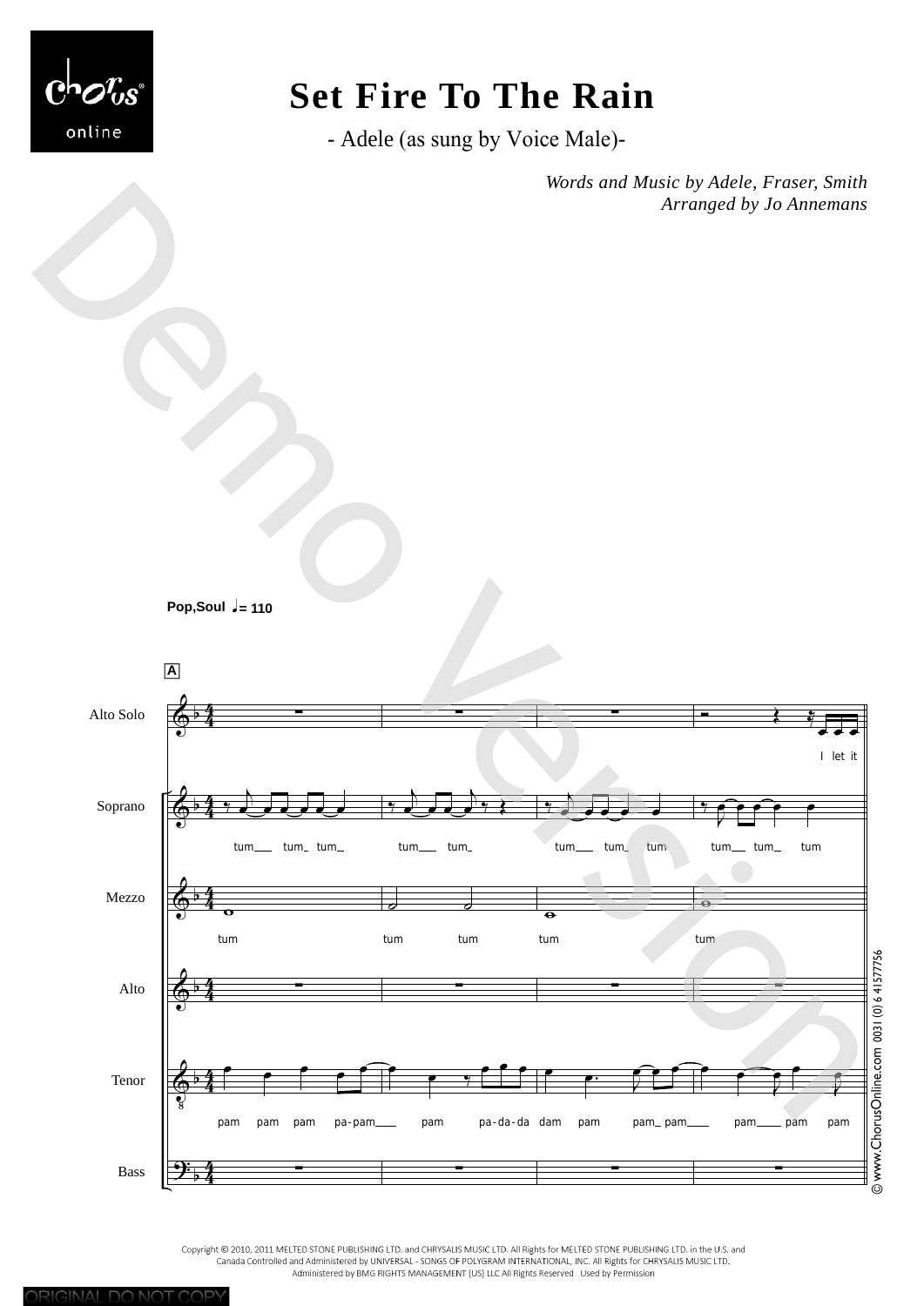

# **Set Fire To The Rain**

- Adele (as sung by Voice Male)-

*Words and Music by Adele, Fraser, Smith Arranged by Jo Annemans*





Copyright © 2010, 2011 MELTED STONE PUBLISHING LTD. and CHRYSALIS MUSIC LTD. All Rights for MELTED STONE PUBLISHING LTD. in the U.S. and Canada Controlled and Administered by UNIVERSAL - SONGS OF POLYGRAM INTERNATIONAL, INC. All Rights for CHRYSALIS MUSIC LTD.<br>Canada Controlled and Administered by UNIVERSAL - SONGS OF POLYGRAM INTERNATIONAL, INC. All Rights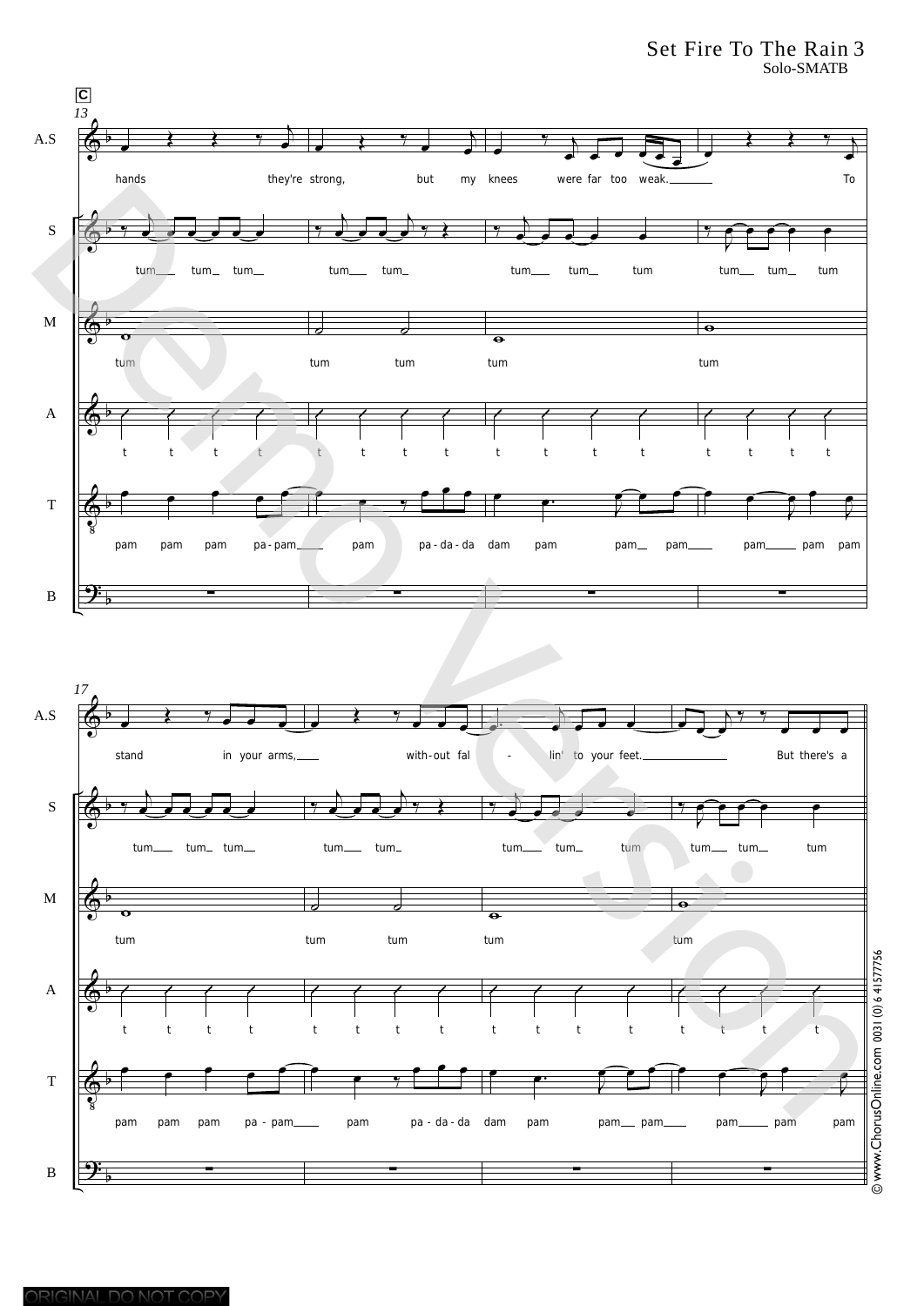Set Fire To The Rain 3 Solo-SMATB





ORIGINAL DO NOT COPY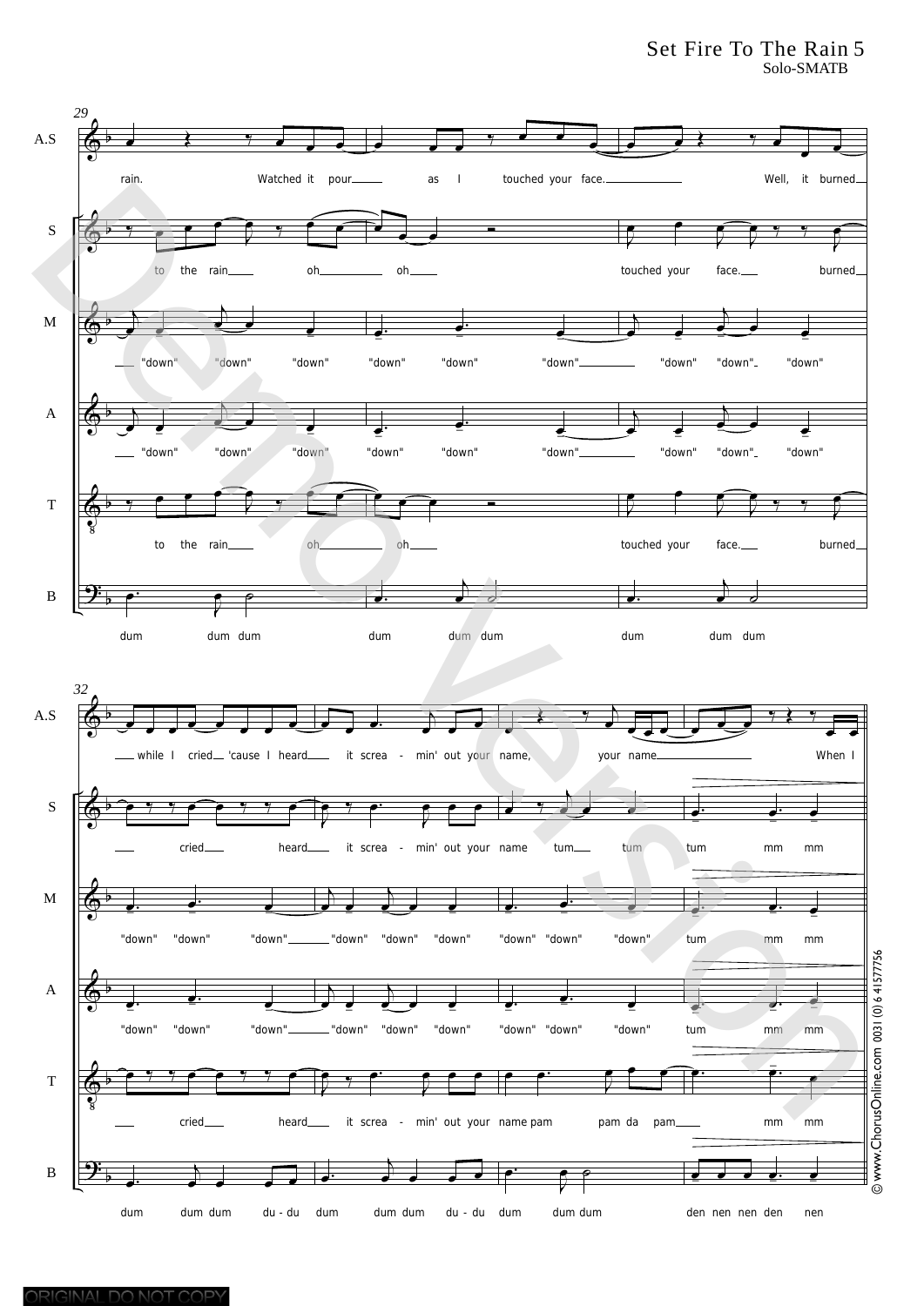### Set Fire To The Rain 5 Solo-SMATB

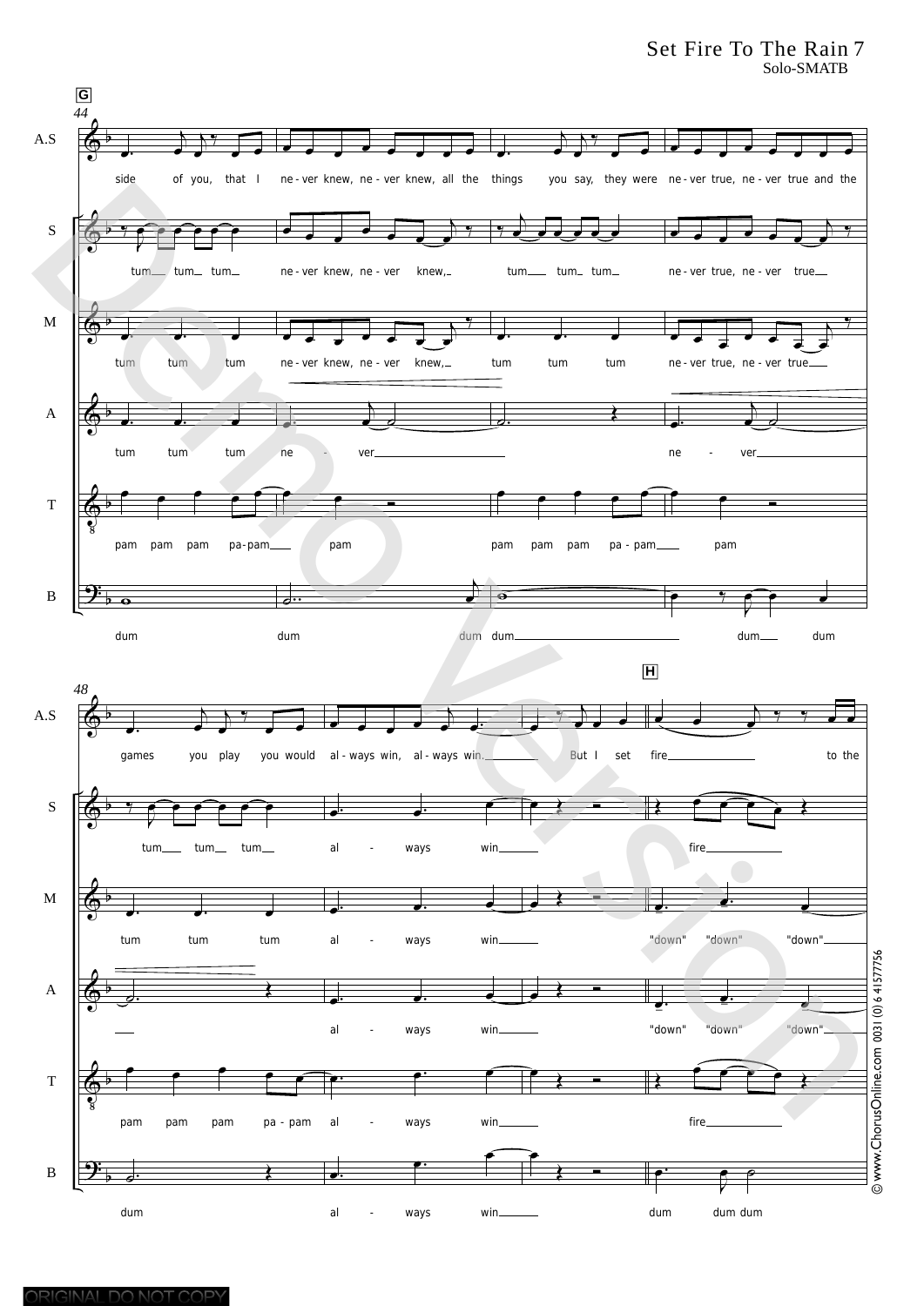Set Fire To The Rain 7 Solo-SMATB

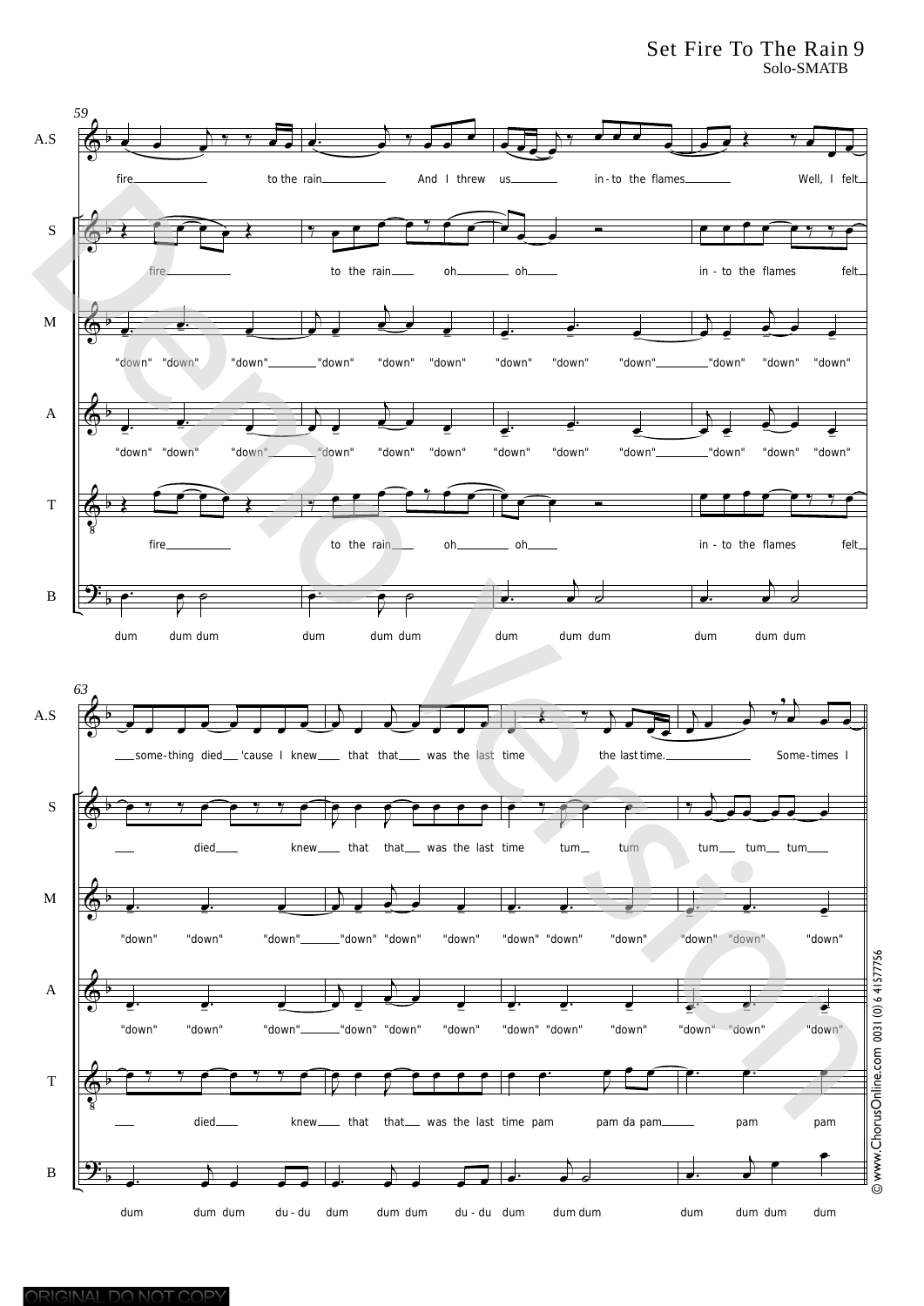### Set Fire To The Rain 9 Solo-SMATB

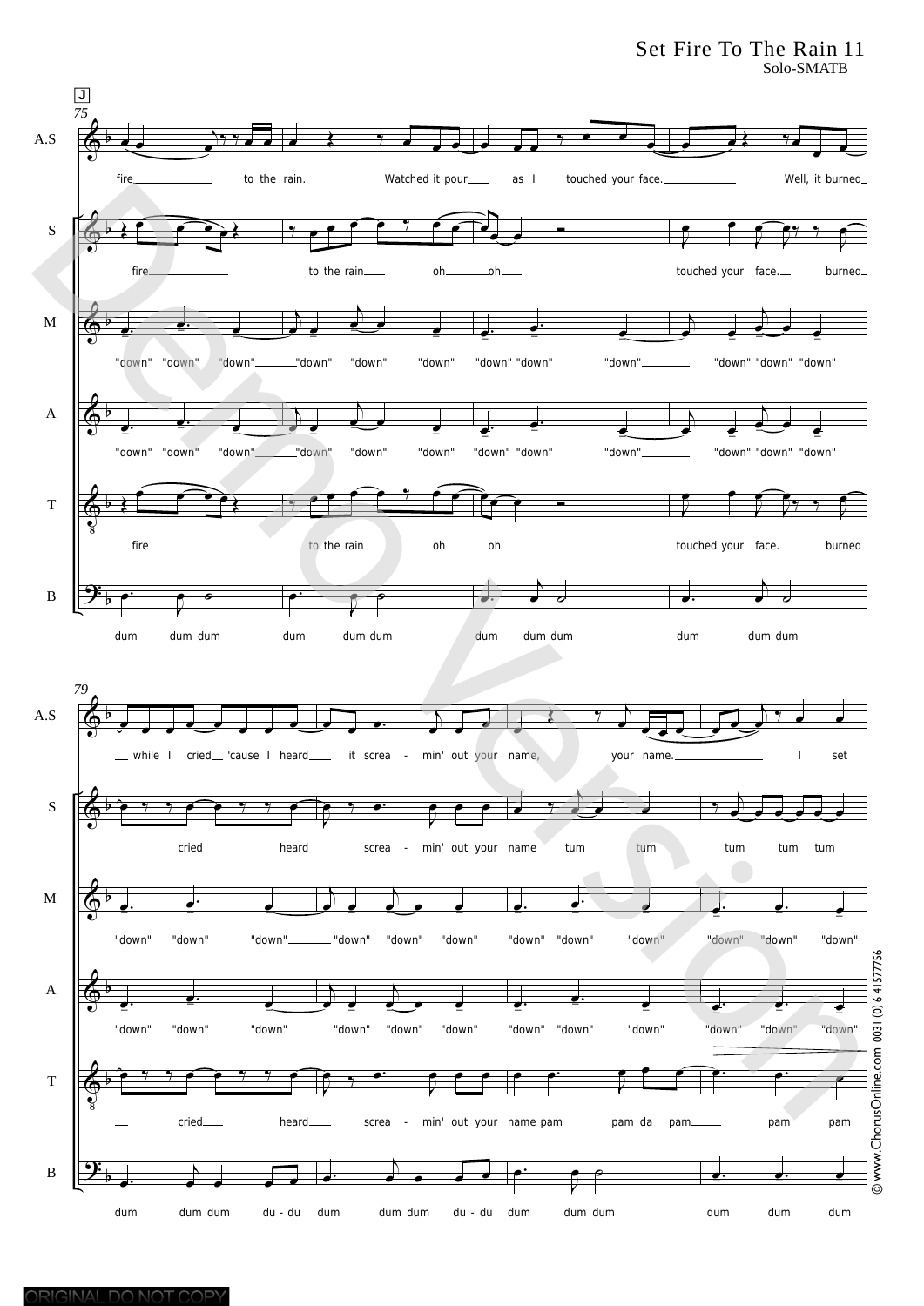#### Set Fire To The Rain 11 Solo-SMATB